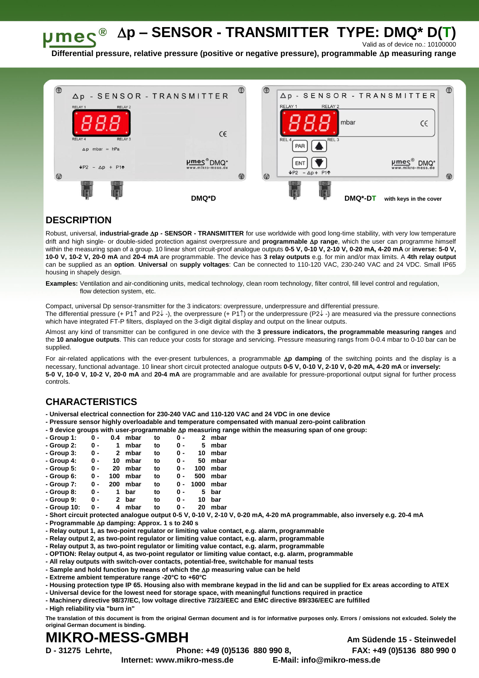**p – SENSOR - TRANSMITTER TYPE: DMQ\* D(T)**  $\bm{\mu}$ me $\bm{\varsigma}^{\circledast}$ 

Valid as of device no.: 10100000

**Differential pressure, relative pressure (positive or negative pressure), programmable p measuring range**



## **DESCRIPTION**

Robust, universal, *industrial-grade*  $\Delta p$  - **SENSOR - TRANSMITTER** for use worldwide with good long-time stability, with very low temperature drift and high single- or double-sided protection against overpressure and **programmable p range**, which the user can programme himself within the measuring span of a group. 10 linear short circuit-proof analogue outputs **0-5 V, 0-10 V, 2-10 V, 0-20 mA, 4-20 mA** or **inverse: 5-0 V, 10-0 V, 10-2 V, 20-0 mA** and **20-4 mA** are programmable. The device has **3 relay outputs** e.g. for min and/or max limits. A **4th relay output** can be supplied as an **option**. **Universal** on **supply voltages**: Can be connected to 110-120 VAC, 230-240 VAC and 24 VDC. Small IP65 housing in shapely design.

**Examples:** Ventilation and air-conditioning units, medical technology, clean room technology, filter control, fill level control and regulation, flow detection system, etc.

Compact, universal Dp sensor-transmitter for the 3 indicators: overpressure, underpressure and differential pressure. The differential pressure (+ P1 $\uparrow$  and P2 $\downarrow$  -), the overpressure (+ P1 $\uparrow$ ) or the underpressure (P2 $\downarrow$  -) are measured via the pressure connections which have integrated FT-P filters, displayed on the 3-digit digital display and output on the linear outputs.

Almost any kind of transmitter can be configured in one device with the **3 pressure indicators, the programmable measuring ranges** and the **10 analogue outputs**. This can reduce your costs for storage and servicing. Pressure measuring rangs from 0-0.4 mbar to 0-10 bar can be supplied.

For air-related applications with the ever-present turbulences, a programmable Ap damping of the switching points and the display is a necessary, functional advantage. 10 linear short circuit protected analogue outputs **0-5 V, 0-10 V, 2-10 V, 0-20 mA, 4-20 mA** or **inversely: 5-0 V, 10-0 V, 10-2 V, 20-0 mA** and **20-4 mA** are programmable and are available for pressure-proportional output signal for further process controls.

## **CHARACTERISTICS**

**- Universal electrical connection for 230-240 VAC and 110-120 VAC and 24 VDC in one device** 

- **- Pressure sensor highly overloadable and temperature compensated with manual zero-point calibration**
- **- 9 device groups with user-programmable p measuring range within the measuring span of one group:**

| - Group 1:                                                    | 0 - | 0.4            | mbar | to | 0 - | 2    | mbar |
|---------------------------------------------------------------|-----|----------------|------|----|-----|------|------|
| - Group 2:                                                    | 0 - | 1              | mbar | to | 0 - | 5    | mbar |
| - Group 3:                                                    | 0 - | $\mathbf{2}$   | mbar | to | 0 - | 10   | mbar |
| - Group 4:                                                    | 0 - | 10             | mbar | to | 0 - | 50   | mbar |
| - Group 5:                                                    | 0 - | 20             | mbar | to | 0 - | 100  | mbar |
| - Group 6:                                                    | 0 - | 100            | mbar | to | 0 - | 500  | mbar |
| - Group 7:                                                    | 0 - | 200            | mbar | to | 0 - | 1000 | mbar |
| - Group 8:                                                    | 0 - | 1              | bar  | to | 0 - | 5    | bar  |
| - Group 9:                                                    | 0 - | $\mathbf{2}^-$ | bar  | to | 0 - | 10   | bar  |
| - Group 10:                                                   | 0 - | 4              | mbar | to | 0 - | 20   | mbar |
| - Short circuit protected analogue output 0-5 V, 0-10 V, 2-10 |     |                |      |    |     |      |      |

**- Short circuit protected analogue output 0-5 V, 0-10 V, 2-10 V, 0-20 mA, 4-20 mA programmable, also inversely e.g. 20-4 mA**

- **- Programmable p damping: Approx. 1 s to 240 s**
- **- Relay output 1, as two-point regulator or limiting value contact, e.g. alarm, programmable**
- **- Relay output 2, as two-point regulator or limiting value contact, e.g. alarm, programmable**
- **- Relay output 3, as two-point regulator or limiting value contact, e.g. alarm, programmable**
- **- OPTION: Relay output 4, as two-point regulator or limiting value contact, e.g. alarm, programmable**
- **- All relay outputs with switch-over contacts, potential-free, switchable for manual tests**
- **- Sample and hold function by means of which the p measuring value can be held**
- **- Extreme ambient temperature range -20°C to +60°C**
- **- Housing protection type IP 65. Housing also with membrane keypad in the lid and can be supplied for Ex areas according to ATEX**
- **- Universal device for the lowest need for storage space, with meaningful functions required in practice**
- **- Machinery directive 98/37/EC, low voltage directive 73/23/EEC and EMC directive 89/336/EEC are fulfilled**

**- High reliability via "burn in"**

**The translation of this document is from the original German document and is for informative purposes only. Errors / omissions not exlcuded. Solely the original German document is binding.**

## **MIKRO-MESS-GMBH Am Südende 15 - Steinwedel**

**Internet: www.mikro-mess.de E-Mail: info@mikro-mess.de**

**D - 31275 Lehrte, Phone: +49 (0)5136 880 990 8, FAX: +49 (0)5136 880 990 0**